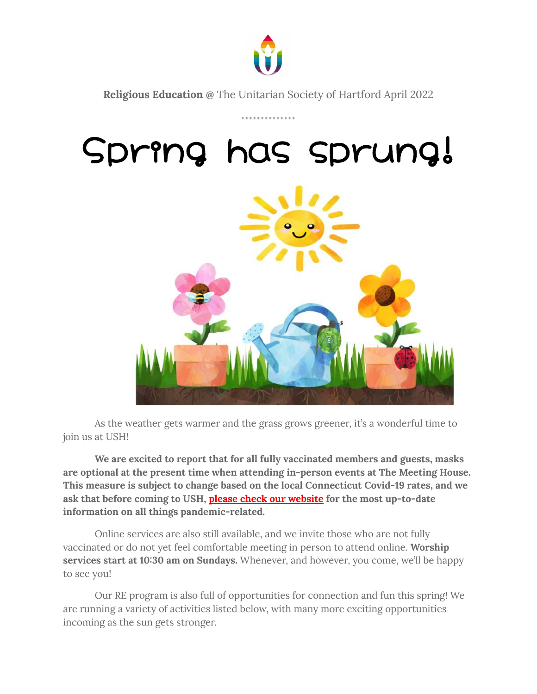

**Religious Education @** The Unitarian Society of Hartford April 2022

..............

## Spring has sprung!



As the weather gets warmer and the grass grows greener, it's a wonderful time to join us at USH!

**We are excited to report that for all fully vaccinated members and guests, masks are optional at the present time when attending in-person events at The Meeting House. This measure is subject to change based on the local Connecticut Covid-19 rates, and we ask that before coming to USH, please check our [website](https://ushartford.org/) for the most up-to-date information on all things pandemic-related.**

Online services are also still available, and we invite those who are not fully vaccinated or do not yet feel comfortable meeting in person to attend online. **Worship services start at 10:30 am on Sundays.** Whenever, and however, you come, we'll be happy to see you!

Our RE program is also full of opportunities for connection and fun this spring! We are running a variety of activities listed below, with many more exciting opportunities incoming as the sun gets stronger.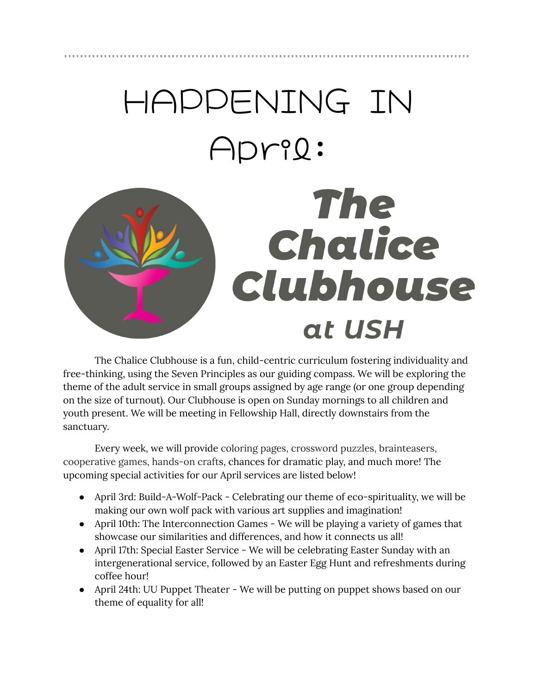# HAPPENING IN April:



The Chalice Clubhouse is a fun, child-centric curriculum fostering individuality and free-thinking, using the Seven Principles as our guiding compass. We will be exploring the theme of the adult service in small groups assigned by age range (or one group depending on the size of turnout). Our Clubhouse is open on Sunday mornings to all children and youth present. We will be meeting in Fellowship Hall, directly downstairs from the sanctuary.

Every week, we will provide coloring pages, crossword puzzles, brainteasers, cooperative games, hands-on crafts, chances for dramatic play, and much more! The upcoming special activities for our April services are listed below!

- April 3rd: Build-A-Wolf-Pack Celebrating our theme of eco-spirituality, we will be making our own wolf pack with various art supplies and imagination!
- April 10th: The Interconnection Games We will be playing a variety of games that showcase our similarities and differences, and how it connects us all!
- April 17th: Special Easter Service We will be celebrating Easter Sunday with an intergenerational service, followed by an Easter Egg Hunt and refreshments during coffee hour!
- April 24th: UU Puppet Theater We will be putting on puppet shows based on our theme of equality for all!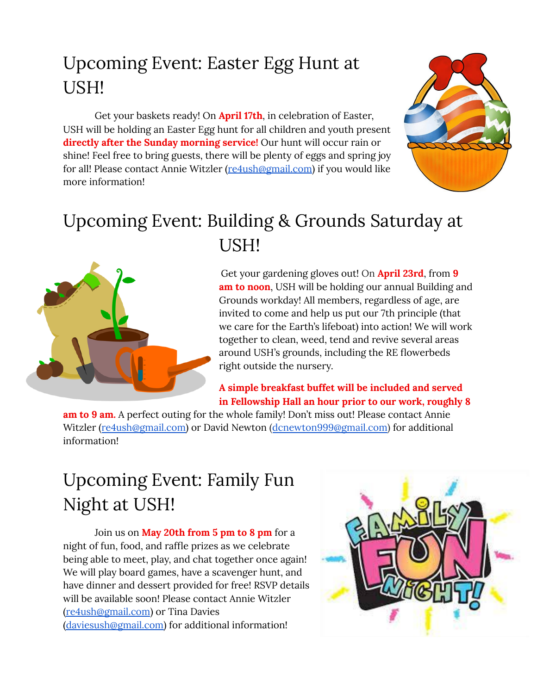#### Upcoming Event: Easter Egg Hunt at USH!

Get your baskets ready! On **April 17th**, in celebration of Easter, USH will be holding an Easter Egg hunt for all children and youth present **directly after the Sunday morning service!** Our hunt will occur rain or shine! Feel free to bring guests, there will be plenty of eggs and spring joy for all! Please contact Annie Witzler [\(re4ush@gmail.com\)](mailto:re4ush@gmail.com) if you would like more information!



#### Upcoming Event: Building & Grounds Saturday at USH!



Get your gardening gloves out! On **April 23rd**, from **9 am to noon**, USH will be holding our annual Building and Grounds workday! All members, regardless of age, are invited to come and help us put our 7th principle (that we care for the Earth's lifeboat) into action! We will work together to clean, weed, tend and revive several areas around USH's grounds, including the RE flowerbeds right outside the nursery.

#### **A simple breakfast buffet will be included and served in Fellowship Hall an hour prior to our work, roughly 8**

**am to 9 am.** A perfect outing for the whole family! Don't miss out! Please contact Annie Witzler ([re4ush@gmail.com\)](mailto:re4ush@gmail.com) or David Newton ([dcnewton999@gmail.com\)](mailto:dcnewton999@gmail.com) for additional information!

#### Upcoming Event: Family Fun Night at USH!

Join us on **May 20th from 5 pm to 8 pm** for a night of fun, food, and raffle prizes as we celebrate being able to meet, play, and chat together once again! We will play board games, have a scavenger hunt, and have dinner and dessert provided for free! RSVP details will be available soon! Please contact Annie Witzler [\(re4ush@gmail.com](mailto:re4ush@gmail.com)) or Tina Davies [\(daviesush@gmail.com\)](mailto:daviesush@gmail.com) for additional information!

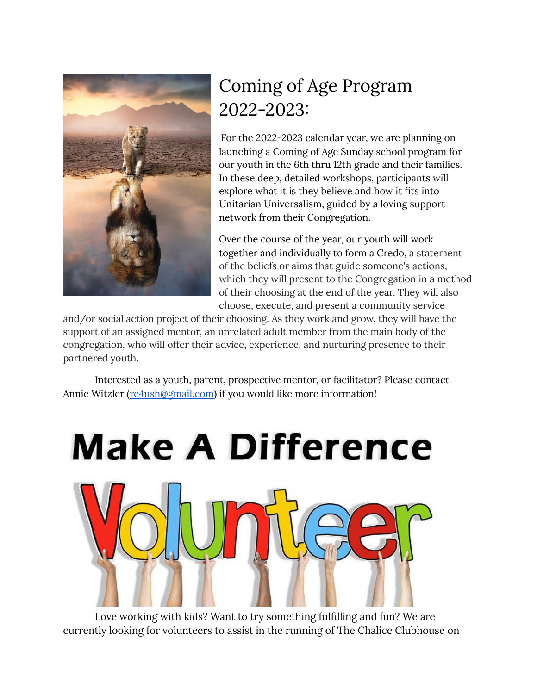

### Coming of Age Program 2022-2023:

For the 2022-2023 calendar year, we are planning on launching a Coming of Age Sunday school program for our youth in the 6th thru 12th grade and their families. In these deep, detailed workshops, participants will explore what it is they believe and how it fits into Unitarian Universalism, guided by a loving support network from their Congregation.

Over the course of the year, our youth will work together and individually to form a Credo, a statement of the beliefs or aims that guide someone's actions, which they will present to the Congregation in a method of their choosing at the end of the year. They will also choose, execute, and present a community service

and/or social action project of their choosing. As they work and grow, they will have the support of an assigned mentor, an unrelated adult member from the main body of the congregation, who will offer their advice, experience, and nurturing presence to their partnered youth.

Interested as a youth, parent, prospective mentor, or facilitator? Please contact Annie Witzler [\(re4ush@gmail.com\)](mailto:re4ush@gmail.com) if you would like more information!



Love working with kids? Want to try something fulfilling and fun? We are currently looking for volunteers to assist in the running of The Chalice Clubhouse on